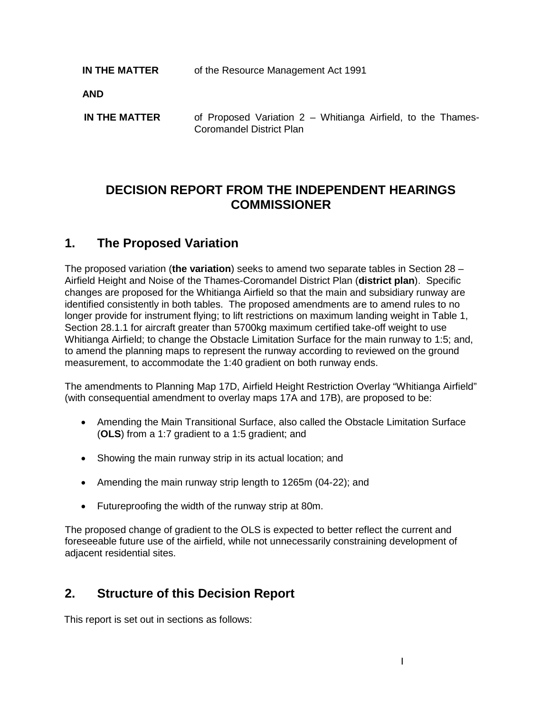**IN THE MATTER** of the Resource Management Act 1991

**AND**

**IN THE MATTER** of Proposed Variation 2 – Whitianga Airfield, to the Thames-Coromandel District Plan

# **DECISION REPORT FROM THE INDEPENDENT HEARINGS COMMISSIONER**

## **1. The Proposed Variation**

The proposed variation (**the variation**) seeks to amend two separate tables in Section 28 – Airfield Height and Noise of the Thames-Coromandel District Plan (**district plan**). Specific changes are proposed for the Whitianga Airfield so that the main and subsidiary runway are identified consistently in both tables. The proposed amendments are to amend rules to no longer provide for instrument flying; to lift restrictions on maximum landing weight in Table 1, Section 28.1.1 for aircraft greater than 5700kg maximum certified take-off weight to use Whitianga Airfield; to change the Obstacle Limitation Surface for the main runway to 1:5; and, to amend the planning maps to represent the runway according to reviewed on the ground measurement, to accommodate the 1:40 gradient on both runway ends.

The amendments to Planning Map 17D, Airfield Height Restriction Overlay "Whitianga Airfield" (with consequential amendment to overlay maps 17A and 17B), are proposed to be:

- Amending the Main Transitional Surface, also called the Obstacle Limitation Surface (**OLS**) from a 1:7 gradient to a 1:5 gradient; and
- Showing the main runway strip in its actual location; and
- Amending the main runway strip length to 1265m (04-22); and
- Futureproofing the width of the runway strip at 80m.

The proposed change of gradient to the OLS is expected to better reflect the current and foreseeable future use of the airfield, while not unnecessarily constraining development of adjacent residential sites.

# **2. Structure of this Decision Report**

This report is set out in sections as follows: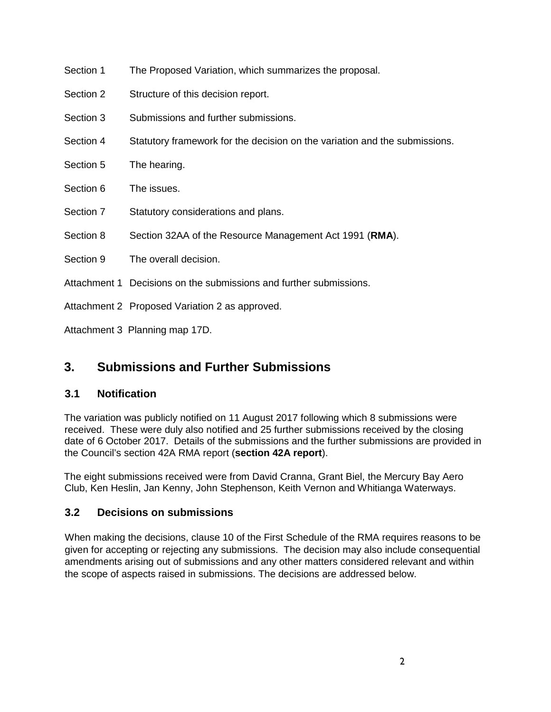- Section 1 The Proposed Variation, which summarizes the proposal.
- Section 2 Structure of this decision report.
- Section 3 Submissions and further submissions.
- Section 4 Statutory framework for the decision on the variation and the submissions.
- Section 5 The hearing.
- Section 6 The issues.
- Section 7 Statutory considerations and plans.
- Section 8 Section 32AA of the Resource Management Act 1991 (**RMA**).
- Section 9 The overall decision.
- Attachment 1 Decisions on the submissions and further submissions.
- Attachment 2 Proposed Variation 2 as approved.

Attachment 3 Planning map 17D.

# **3. Submissions and Further Submissions**

## **3.1 Notification**

The variation was publicly notified on 11 August 2017 following which 8 submissions were received. These were duly also notified and 25 further submissions received by the closing date of 6 October 2017. Details of the submissions and the further submissions are provided in the Council's section 42A RMA report (**section 42A report**).

The eight submissions received were from David Cranna, Grant Biel, the Mercury Bay Aero Club, Ken Heslin, Jan Kenny, John Stephenson, Keith Vernon and Whitianga Waterways.

## **3.2 Decisions on submissions**

When making the decisions, clause 10 of the First Schedule of the RMA requires reasons to be given for accepting or rejecting any submissions. The decision may also include consequential amendments arising out of submissions and any other matters considered relevant and within the scope of aspects raised in submissions. The decisions are addressed below.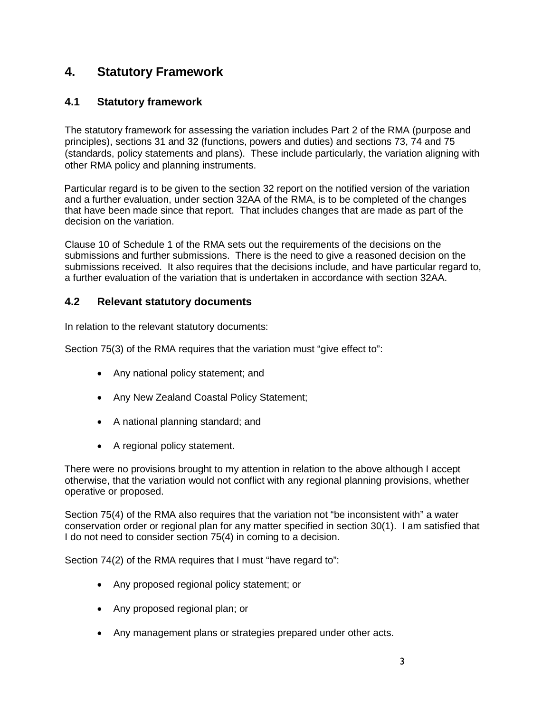# **4. Statutory Framework**

## **4.1 Statutory framework**

The statutory framework for assessing the variation includes Part 2 of the RMA (purpose and principles), sections 31 and 32 (functions, powers and duties) and sections 73, 74 and 75 (standards, policy statements and plans). These include particularly, the variation aligning with other RMA policy and planning instruments.

Particular regard is to be given to the section 32 report on the notified version of the variation and a further evaluation, under section 32AA of the RMA, is to be completed of the changes that have been made since that report. That includes changes that are made as part of the decision on the variation.

Clause 10 of Schedule 1 of the RMA sets out the requirements of the decisions on the submissions and further submissions. There is the need to give a reasoned decision on the submissions received. It also requires that the decisions include, and have particular regard to, a further evaluation of the variation that is undertaken in accordance with section 32AA.

## **4.2 Relevant statutory documents**

In relation to the relevant statutory documents:

Section 75(3) of the RMA requires that the variation must "give effect to":

- Any national policy statement; and
- Any New Zealand Coastal Policy Statement;
- A national planning standard; and
- A regional policy statement.

There were no provisions brought to my attention in relation to the above although I accept otherwise, that the variation would not conflict with any regional planning provisions, whether operative or proposed.

Section 75(4) of the RMA also requires that the variation not "be inconsistent with" a water conservation order or regional plan for any matter specified in section 30(1). I am satisfied that I do not need to consider section 75(4) in coming to a decision.

Section 74(2) of the RMA requires that I must "have regard to":

- Any proposed regional policy statement; or
- Any proposed regional plan; or
- Any management plans or strategies prepared under other acts.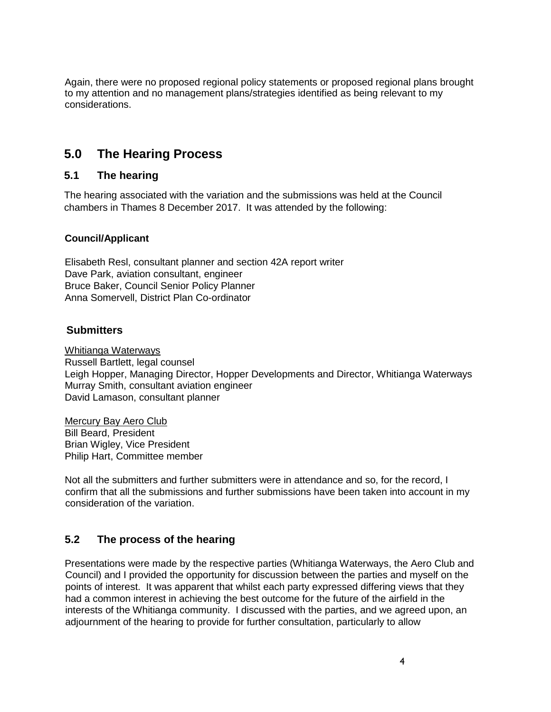Again, there were no proposed regional policy statements or proposed regional plans brought to my attention and no management plans/strategies identified as being relevant to my considerations.

## **5.0 The Hearing Process**

## **5.1 The hearing**

The hearing associated with the variation and the submissions was held at the Council chambers in Thames 8 December 2017. It was attended by the following:

### **Council/Applicant**

Elisabeth Resl, consultant planner and section 42A report writer Dave Park, aviation consultant, engineer Bruce Baker, Council Senior Policy Planner Anna Somervell, District Plan Co-ordinator

## **Submitters**

Whitianga Waterways Russell Bartlett, legal counsel Leigh Hopper, Managing Director, Hopper Developments and Director, Whitianga Waterways Murray Smith, consultant aviation engineer David Lamason, consultant planner

Mercury Bay Aero Club Bill Beard, President Brian Wigley, Vice President Philip Hart, Committee member

Not all the submitters and further submitters were in attendance and so, for the record, I confirm that all the submissions and further submissions have been taken into account in my consideration of the variation.

## **5.2 The process of the hearing**

Presentations were made by the respective parties (Whitianga Waterways, the Aero Club and Council) and I provided the opportunity for discussion between the parties and myself on the points of interest. It was apparent that whilst each party expressed differing views that they had a common interest in achieving the best outcome for the future of the airfield in the interests of the Whitianga community. I discussed with the parties, and we agreed upon, an adjournment of the hearing to provide for further consultation, particularly to allow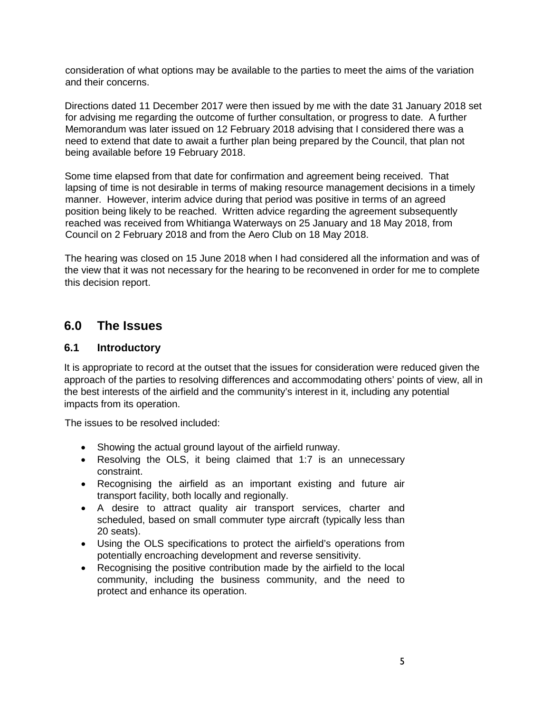consideration of what options may be available to the parties to meet the aims of the variation and their concerns.

Directions dated 11 December 2017 were then issued by me with the date 31 January 2018 set for advising me regarding the outcome of further consultation, or progress to date. A further Memorandum was later issued on 12 February 2018 advising that I considered there was a need to extend that date to await a further plan being prepared by the Council, that plan not being available before 19 February 2018.

Some time elapsed from that date for confirmation and agreement being received. That lapsing of time is not desirable in terms of making resource management decisions in a timely manner. However, interim advice during that period was positive in terms of an agreed position being likely to be reached. Written advice regarding the agreement subsequently reached was received from Whitianga Waterways on 25 January and 18 May 2018, from Council on 2 February 2018 and from the Aero Club on 18 May 2018.

The hearing was closed on 15 June 2018 when I had considered all the information and was of the view that it was not necessary for the hearing to be reconvened in order for me to complete this decision report.

## **6.0 The Issues**

### **6.1 Introductory**

It is appropriate to record at the outset that the issues for consideration were reduced given the approach of the parties to resolving differences and accommodating others' points of view, all in the best interests of the airfield and the community's interest in it, including any potential impacts from its operation.

The issues to be resolved included:

- Showing the actual ground layout of the airfield runway.
- Resolving the OLS, it being claimed that 1:7 is an unnecessary constraint.
- Recognising the airfield as an important existing and future air transport facility, both locally and regionally.
- A desire to attract quality air transport services, charter and scheduled, based on small commuter type aircraft (typically less than 20 seats).
- Using the OLS specifications to protect the airfield's operations from potentially encroaching development and reverse sensitivity.
- Recognising the positive contribution made by the airfield to the local community, including the business community, and the need to protect and enhance its operation.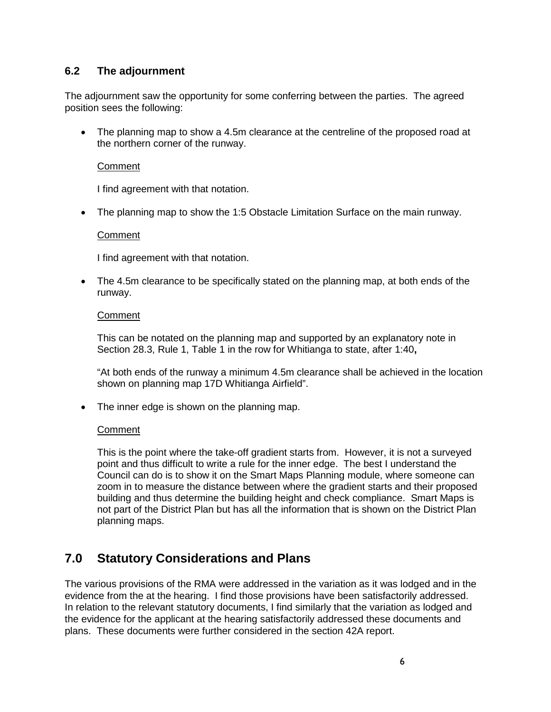## **6.2 The adjournment**

The adjournment saw the opportunity for some conferring between the parties. The agreed position sees the following:

• The planning map to show a 4.5m clearance at the centreline of the proposed road at the northern corner of the runway.

### Comment

I find agreement with that notation.

• The planning map to show the 1:5 Obstacle Limitation Surface on the main runway.

#### **Comment**

I find agreement with that notation.

• The 4.5m clearance to be specifically stated on the planning map, at both ends of the runway.

#### **Comment**

This can be notated on the planning map and supported by an explanatory note in Section 28.3, Rule 1, Table 1 in the row for Whitianga to state, after 1:40**,**

"At both ends of the runway a minimum 4.5m clearance shall be achieved in the location shown on planning map 17D Whitianga Airfield".

• The inner edge is shown on the planning map.

#### **Comment**

This is the point where the take-off gradient starts from. However, it is not a surveyed point and thus difficult to write a rule for the inner edge. The best I understand the Council can do is to show it on the Smart Maps Planning module, where someone can zoom in to measure the distance between where the gradient starts and their proposed building and thus determine the building height and check compliance. Smart Maps is not part of the District Plan but has all the information that is shown on the District Plan planning maps.

# **7.0 Statutory Considerations and Plans**

The various provisions of the RMA were addressed in the variation as it was lodged and in the evidence from the at the hearing. I find those provisions have been satisfactorily addressed. In relation to the relevant statutory documents, I find similarly that the variation as lodged and the evidence for the applicant at the hearing satisfactorily addressed these documents and plans. These documents were further considered in the section 42A report.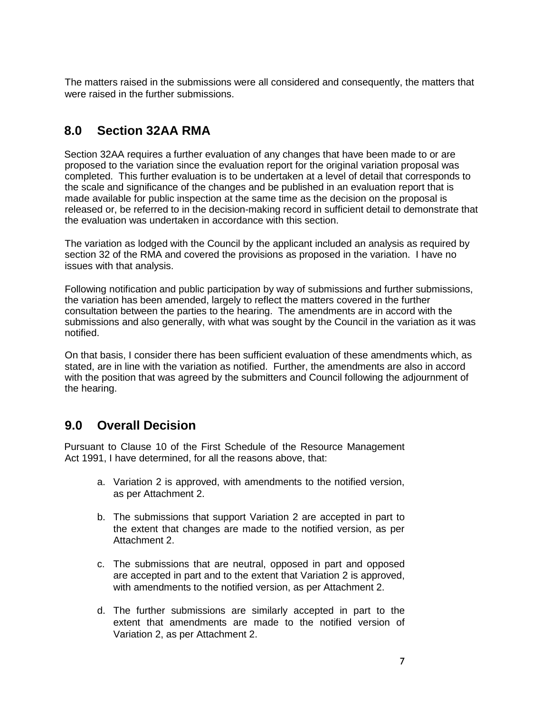The matters raised in the submissions were all considered and consequently, the matters that were raised in the further submissions.

# **8.0 Section 32AA RMA**

Section 32AA requires a further evaluation of any changes that have been made to or are proposed to the variation since the evaluation report for the original variation proposal was completed. This further evaluation is to be undertaken at a level of detail that corresponds to the scale and significance of the changes and be published in an evaluation report that is made available for public inspection at the same time as the decision on the proposal is released or, be referred to in the decision-making record in sufficient detail to demonstrate that the evaluation was undertaken in accordance with this section.

The variation as lodged with the Council by the applicant included an analysis as required by section 32 of the RMA and covered the provisions as proposed in the variation. I have no issues with that analysis.

Following notification and public participation by way of submissions and further submissions, the variation has been amended, largely to reflect the matters covered in the further consultation between the parties to the hearing. The amendments are in accord with the submissions and also generally, with what was sought by the Council in the variation as it was notified.

On that basis, I consider there has been sufficient evaluation of these amendments which, as stated, are in line with the variation as notified. Further, the amendments are also in accord with the position that was agreed by the submitters and Council following the adjournment of the hearing.

# **9.0 Overall Decision**

Pursuant to Clause 10 of the First Schedule of the Resource Management Act 1991, I have determined, for all the reasons above, that:

- a. Variation 2 is approved, with amendments to the notified version, as per Attachment 2.
- b. The submissions that support Variation 2 are accepted in part to the extent that changes are made to the notified version, as per Attachment 2.
- c. The submissions that are neutral, opposed in part and opposed are accepted in part and to the extent that Variation 2 is approved, with amendments to the notified version, as per Attachment 2.
- d. The further submissions are similarly accepted in part to the extent that amendments are made to the notified version of Variation 2, as per Attachment 2.